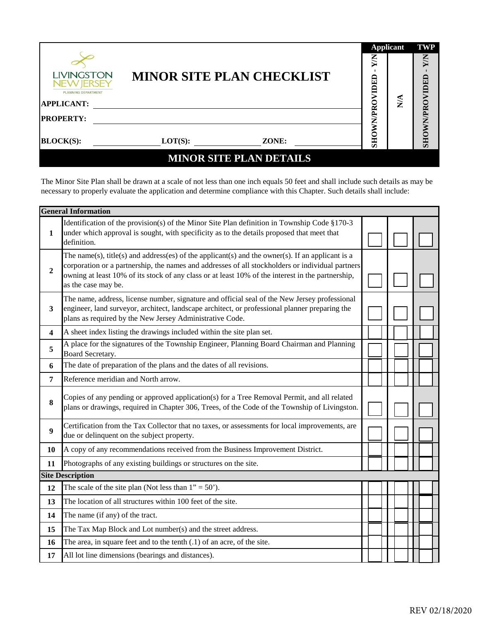|                                                               |            |                                  | <b>Applicant</b> | <b>TWP</b>       |            |
|---------------------------------------------------------------|------------|----------------------------------|------------------|------------------|------------|
| <b>LIVINGSTON</b><br>NEW IERSEY<br><b>PLANNING DEPARTMENT</b> |            | <b>MINOR SITE PLAN CHECKLIST</b> | XW<br>IDED       |                  | XN<br>OED  |
| <b>APPLICANT:</b>                                             |            |                                  |                  | $\sum_{i=1}^{n}$ |            |
| <b>PROPERTY:</b>                                              |            |                                  | WN/PR            |                  | WN/PROVI   |
| <b>BLOCK(S):</b>                                              | $LOT(S)$ : | ZONE:                            | SHO              |                  | <b>OHS</b> |
|                                                               |            | <b>MINOR SITE PLAN DETAILS</b>   |                  |                  |            |

The Minor Site Plan shall be drawn at a scale of not less than one inch equals 50 feet and shall include such details as may be necessary to properly evaluate the application and determine compliance with this Chapter. Such details shall include:

|                         | <b>General Information</b>                                                                                                                                                                                                                                                                                                       |  |  |  |  |  |  |  |
|-------------------------|----------------------------------------------------------------------------------------------------------------------------------------------------------------------------------------------------------------------------------------------------------------------------------------------------------------------------------|--|--|--|--|--|--|--|
| 1                       | Identification of the provision(s) of the Minor Site Plan definition in Township Code §170-3<br>under which approval is sought, with specificity as to the details proposed that meet that<br>definition.                                                                                                                        |  |  |  |  |  |  |  |
| $\boldsymbol{2}$        | The name(s), title(s) and address(es) of the applicant(s) and the owner(s). If an applicant is a<br>corporation or a partnership, the names and addresses of all stockholders or individual partners<br>owning at least 10% of its stock of any class or at least 10% of the interest in the partnership,<br>as the case may be. |  |  |  |  |  |  |  |
| $\overline{\mathbf{3}}$ | The name, address, license number, signature and official seal of the New Jersey professional<br>engineer, land surveyor, architect, landscape architect, or professional planner preparing the<br>plans as required by the New Jersey Administrative Code.                                                                      |  |  |  |  |  |  |  |
| $\overline{\mathbf{4}}$ | A sheet index listing the drawings included within the site plan set.                                                                                                                                                                                                                                                            |  |  |  |  |  |  |  |
| 5                       | A place for the signatures of the Township Engineer, Planning Board Chairman and Planning<br>Board Secretary.                                                                                                                                                                                                                    |  |  |  |  |  |  |  |
| 6                       | The date of preparation of the plans and the dates of all revisions.                                                                                                                                                                                                                                                             |  |  |  |  |  |  |  |
| 7                       | Reference meridian and North arrow.                                                                                                                                                                                                                                                                                              |  |  |  |  |  |  |  |
| 8                       | Copies of any pending or approved application(s) for a Tree Removal Permit, and all related<br>plans or drawings, required in Chapter 306, Trees, of the Code of the Township of Livingston.                                                                                                                                     |  |  |  |  |  |  |  |
| 9                       | Certification from the Tax Collector that no taxes, or assessments for local improvements, are<br>due or delinquent on the subject property.                                                                                                                                                                                     |  |  |  |  |  |  |  |
| 10                      | A copy of any recommendations received from the Business Improvement District.                                                                                                                                                                                                                                                   |  |  |  |  |  |  |  |
| 11                      | Photographs of any existing buildings or structures on the site.                                                                                                                                                                                                                                                                 |  |  |  |  |  |  |  |
|                         | <b>Site Description</b>                                                                                                                                                                                                                                                                                                          |  |  |  |  |  |  |  |
| 12                      | The scale of the site plan (Not less than $1" = 50'$ ).                                                                                                                                                                                                                                                                          |  |  |  |  |  |  |  |
| 13                      | The location of all structures within 100 feet of the site.                                                                                                                                                                                                                                                                      |  |  |  |  |  |  |  |
| 14                      | The name (if any) of the tract.                                                                                                                                                                                                                                                                                                  |  |  |  |  |  |  |  |
| 15                      | The Tax Map Block and Lot number(s) and the street address.                                                                                                                                                                                                                                                                      |  |  |  |  |  |  |  |
| 16                      | The area, in square feet and to the tenth $(0.1)$ of an acre, of the site.                                                                                                                                                                                                                                                       |  |  |  |  |  |  |  |
| 17                      | All lot line dimensions (bearings and distances).                                                                                                                                                                                                                                                                                |  |  |  |  |  |  |  |